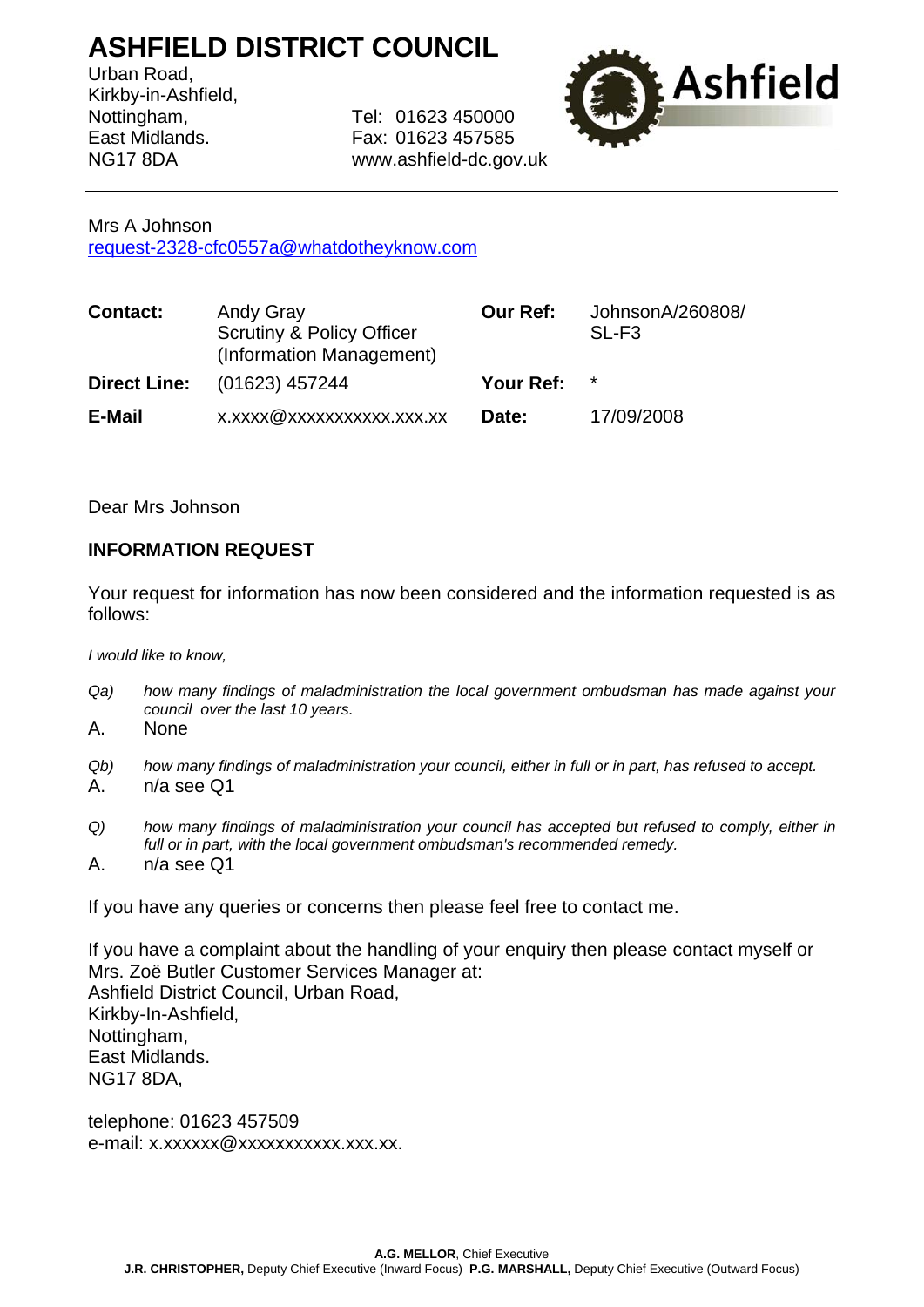## **ASHFIELD DISTRICT COUNCIL**

Urban Road, Kirkby-in-Ashfield,

Nottingham, Tel: 01623 450000 East Midlands. Fax: 01623 457585 NG17 8DA www.ashfield-dc.gov.uk



## Mrs A Johnson

[request-2328-cfc0557a@whatdotheyknow.com](mailto:xxxxxxxxxxxxxxxxxxxxx@xxxxxxxxxxxxxx.xxx)

| <b>Contact:</b>     | <b>Andy Gray</b><br><b>Scrutiny &amp; Policy Officer</b><br>(Information Management) | <b>Our Ref:</b> | JohnsonA/260808/<br>$SL-F3$ |
|---------------------|--------------------------------------------------------------------------------------|-----------------|-----------------------------|
| <b>Direct Line:</b> | (01623) 457244                                                                       | Your Ref:       | $\star$                     |
| E-Mail              | x.xxxx@xxxxxxxxxxx.xxx.xx                                                            | Date:           | 17/09/2008                  |

Dear Mrs Johnson

## **INFORMATION REQUEST**

Your request for information has now been considered and the information requested is as follows:

*I would like to know,* 

- *Qa) how many findings of maladministration the local government ombudsman has made against your council over the last 10 years.*
- A. None
- *Qb) how many findings of maladministration your council, either in full or in part, has refused to accept.*  A. n/a see Q1
- *Q) how many findings of maladministration your council has accepted but refused to comply, either in full or in part, with the local government ombudsman's recommended remedy.*
- A. n/a see Q1

If you have any queries or concerns then please feel free to contact me.

If you have a complaint about the handling of your enquiry then please contact myself or Mrs. Zoë Butler Customer Services Manager at: Ashfield District Council, Urban Road, Kirkby-In-Ashfield, Nottingham, East Midlands. NG17 8DA,

telephone: 01623 457509 e-mail: x.xxxxxx@xxxxxxxxxxxx.xxx.xx.